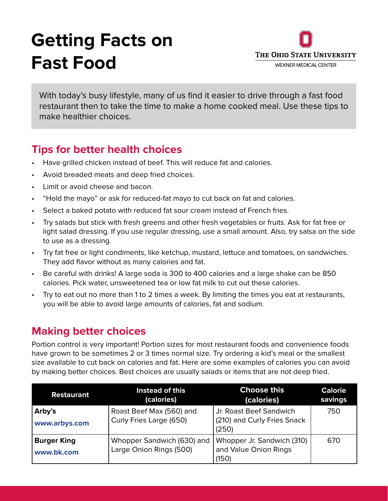## **Getting Facts on Fast Food**



With today's busy lifestyle, many of us find it easier to drive through a fast food restaurant then to take the time to make a home cooked meal. Use these tips to make healthier choices.

## **Tips for better health choices**

- Have grilled chicken instead of beef. This will reduce fat and calories.
- Avoid breaded meats and deep fried choices.
- Limit or avoid cheese and bacon.
- "Hold the mayo" or ask for reduced-fat mayo to cut back on fat and calories.
- Select a baked potato with reduced fat sour cream instead of French fries.
- Try salads but stick with fresh greens and other fresh vegetables or fruits. Ask for fat free or light salad dressing. If you use regular dressing, use a small amount. Also, try salsa on the side to use as a dressing.
- Try fat free or light condiments, like ketchup, mustard, lettuce and tomatoes, on sandwiches. They add flavor without as many calories and fat.
- Be careful with drinks! A large soda is 300 to 400 calories and a large shake can be 850 calories. Pick water, unsweetened tea or low fat milk to cut out these calories.
- Try to eat out no more than 1 to 2 times a week. By limiting the times you eat at restaurants, you will be able to avoid large amounts of calories, fat and sodium.

## **Making better choices**

Portion control is very important! Portion sizes for most restaurant foods and convenience foods have grown to be sometimes 2 or 3 times normal size. Try ordering a kid's meal or the smallest size available to cut back on calories and fat. Here are some examples of calories you can avoid by making better choices. Best choices are usually salads or items that are not deep fried.

| <b>Restaurant</b>                | Instead of this<br>(calories)                         | <b>Choose this</b><br>(calories)                                | <b>Calorie</b><br>savings |
|----------------------------------|-------------------------------------------------------|-----------------------------------------------------------------|---------------------------|
| Arby's<br>www.arbys.com          | Roast Beef Max (560) and<br>Curly Fries Large (650)   | Jr. Roast Beef Sandwich<br>(210) and Curly Fries Snack<br>(250) | 750                       |
| <b>Burger King</b><br>www.bk.com | Whopper Sandwich (630) and<br>Large Onion Rings (500) | Whopper Jr. Sandwich (310)<br>and Value Onion Rings<br>(150)    | 670                       |